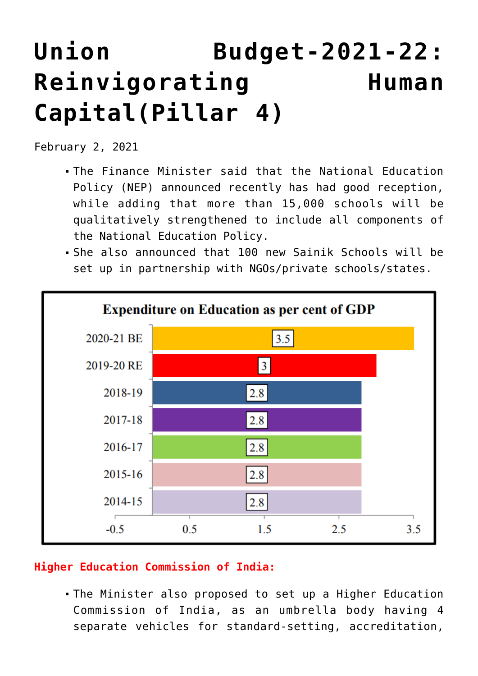## **[Union Budget-2021-22:](https://journalsofindia.com/union-budget-2021-22-reinvigorating-human-capitalpillar-4/) [Reinvigorating Human](https://journalsofindia.com/union-budget-2021-22-reinvigorating-human-capitalpillar-4/) [Capital\(Pillar 4\)](https://journalsofindia.com/union-budget-2021-22-reinvigorating-human-capitalpillar-4/)**

February 2, 2021

- The Finance Minister said that the National Education Policy (NEP) announced recently has had good reception, while adding that more than 15,000 schools will be qualitatively strengthened to include all components of the National Education Policy.
- She also announced that 100 new Sainik Schools will be set up in partnership with NGOs/private schools/states.



## **Higher Education Commission of India:**

The Minister also proposed to set up a Higher Education Commission of India, as an umbrella body having 4 separate vehicles for standard-setting, accreditation,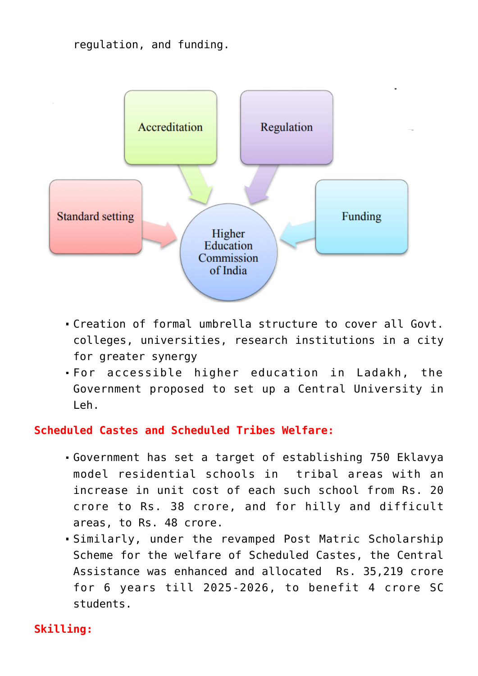regulation, and funding.



- Creation of formal umbrella structure to cover all Govt. colleges, universities, research institutions in a city for greater synergy
- For accessible higher education in Ladakh, the Government proposed to set up a Central University in Leh.

## **Scheduled Castes and Scheduled Tribes Welfare:**

- Government has set a target of establishing 750 Eklavya model residential schools in tribal areas with an increase in unit cost of each such school from Rs. 20 crore to Rs. 38 crore, and for hilly and difficult areas, to Rs. 48 crore.
- Similarly, under the revamped Post Matric Scholarship Scheme for the welfare of Scheduled Castes, the Central Assistance was enhanced and allocated Rs. 35,219 crore for 6 years till 2025-2026, to benefit 4 crore SC students.

## **Skilling:**